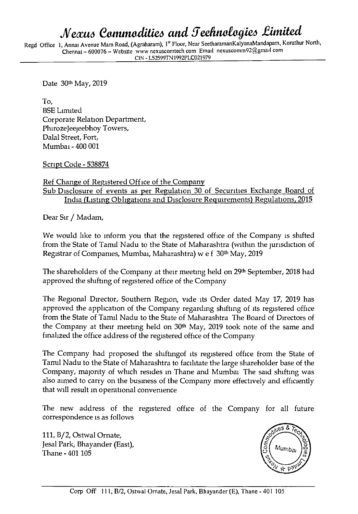## *Mexus Commodities and Teehnologies Limited*

Regd Office 1, Annai Avenue Mam Road, (Agraharam), 1st Floor, Near SeetharamanKalyanaMandapam, Korathur North, Chennai - 600076 - Website www nexuscomtech com Email nexuscomm92@gmaiI com **CIN - L52599TN1992FLC021979** 

Date 30th May, 2019

To, BSE Limited Corporate Relation Department, Phirozejeejeebhoy Towers, Dalai Street, Fort, Mumbai - 400 001

Script Code - 538874

Ref Change of Registered Office of the Company

Sub Disclosure of events as per Regulation 30 of Securities Exchange Board of India (Listing Obligations and Disclosure Requirements) Regulations, 2015

Dear Sir / Madam,

We would like to inform you that the registered office of the Company is shifted from the State of Tamil Nadu to the State of Maharashtra (within the jurisdiction of Registrar of Companies, Mumbai, Maharashtra) w e f 30<sup>th</sup> May, 2019

The shareholders of the Company at their meeting held on 29<sup>th</sup> September, 2018 had approved the shifting of registered office of the Company

The Regional Director, Southern Region, vide its Order dated May 17, 2019 has approved the application of the Company regarding shifting of its registered office from the State of Tamil Nadu to the State of Maharashtra The Board of Directors of the Company at their meeting held on 30<sup>th</sup> May, 2019 took note of the same and finalized the office address of the registered office of the Company

The Company had proposed the shiftingof its registered office from the State of Tamil Nadu to the State of Maharashtra to facilitate the large shareholder base of the Company, majority of which resides in Thane and Mumbai The said shifting was also aimed to carry on the business of the Company more effectively and efficiently that will result in operational convenience

The new address of the registered office of the Company for all future correspondence is as follows

111, B/2, Ostwal Ornate, Jesal Park, Bhayander (East), Thane - 401 105